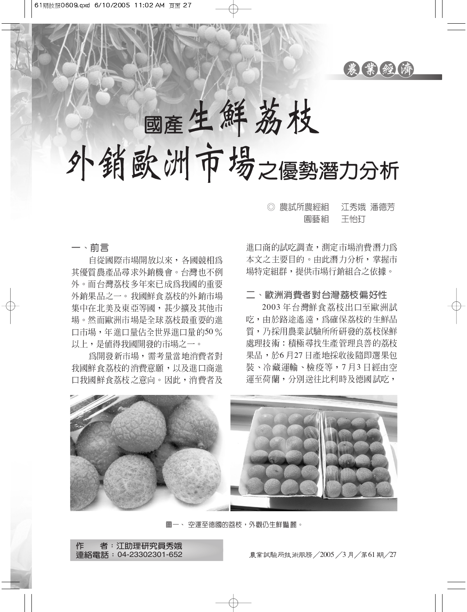

國產生鮮荔枝

外销欧洲市場之優勢潛力分析

江秀娥 潘德芳 ◎ 農試所農經組 園藝組 干怡打

一、前言

自從國際市場開放以來,各國競相為 其優質農產品尋求外銷機會。台灣也不例 外。而台灣荔枝多年來已成為我國的重要 外銷果品之一。我國鮮食荔枝的外銷市場 集中在北美及東亞等國, 甚少擴及其他市 場。然而歐洲市場是全球荔枝最重要的進 口市場,年淮口量佔全世界淮口量的50% 以上,是值得我國開發的市場之一。

為開發新市場,需考量當地消費者對 我國鮮食荔枝的消費意願,以及進口商進 口我國鮮食荔枝之意向。因此, 消費者及 進口商的試吃調查,測定市場消費潛力爲 本文之主要目的。由此潛力分析,掌握市 場特定組群,提供市場行銷組合之依據。

## 二、歐洲消費者對台灣荔枝偏好性

2003年台灣鮮食荔枝出口至歐洲試 吃,由於路途遙遠,為確保荔枝的生鮮品 質,乃採用農業試驗所所研發的荔枝保鮮 處理技術:積極尋找生產管理良善的荔枝 果品,於6月27日產地採收後隨即選果包 裝、冷藏運輸、檢疫等,7月3日經由空 運至荷蘭,分別送往比利時及德國試吃,



圖一、 空運至德國的荔枝,外觀仍生鮮豔麗。

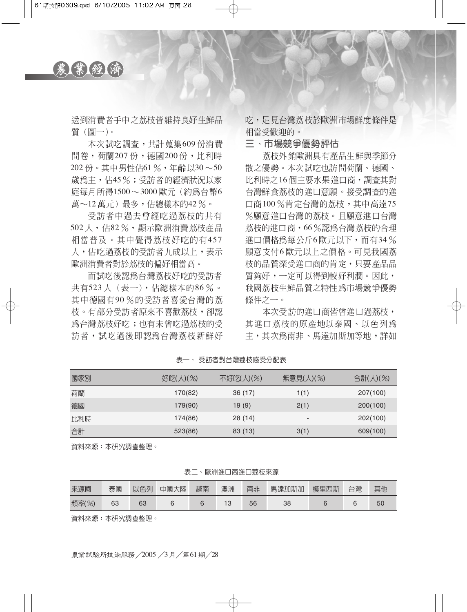

送到消費者手中之荔枝皆維持良好生鮮品 質(圖一)。

本次試吃調查,共計蒐集609份消費 問卷, 荷蘭207 份, 德國200 份, 比利時  $202$ 份。其中男性佔61%,年齡以30~50 歲為主,佔45%;受訪者的經濟狀況以家 庭每月所得1500~3000 歐元 (約為台幣6 萬~12萬元)最多,佔總樣本的42%。

受訪者中渦去曾經吃過荔枝的共有 502人, 佔82%, 顯示歐洲消費荔枝產品 相當普及。其中覺得荔枝好吃的有457 人,佔吃過荔枝的受訪者九成以上,表示 歐洲消費者對於荔枝的偏好相當高。

而試吃後認為台灣荔枝好吃的受訪者 共有523人 (表一),佔總樣本的86%。 其中德國有90%的受訪者喜愛台灣的荔 枝。有部分受訪者原來不喜歡荔枝,卻認 為台灣荔枝好吃;也有未曾吃過荔枝的受 訪者,試吃過後即認為台灣荔枝新鮮好 吃,足見台灣荔枝於歐洲市場鮮度條件是 相當受歡迎的。

三、市場競爭優勢評估

荔枝外銷歐洲具有產品生鮮與季節分 散之優勢。本次試吃也訪問荷蘭、德國、 比利時之16個主要水果進口商,調査其對 台灣鮮食荔枝的進口意願。接受調査的進 口商100%肯定台灣的荔枝,其中高達75 %願意進口台灣的荔枝。且願意進口台灣 荔枝的進口商,66%認為台灣荔枝的合理 淮口價格為每公斤6歐元以下,而有34% 願意支付6歐元以上之價格。可見我國荔 枝的品質深受進口商的肯定,只要產品品 質夠好,一定可以得到較好利潤。因此, 我國荔枝生鮮品質之特性為市場競爭優勢 條件之一。

本次受訪的進口商皆曾進口過荔枝, 其淮口荔枝的原產地以泰國、以色列為 **丰,其次為南非、馬達加斯加等地,詳如** 

| 國家別 | 好吃(人)(%) | 不好吃(人)(%) | 無意見(人)(%)                    | 合計(人)(%) |
|-----|----------|-----------|------------------------------|----------|
| 荷蘭  | 170(82)  | 36(17)    | 1(1)                         | 207(100) |
| 德國  | 179(90)  | 19(9)     | 2(1)                         | 200(100) |
| 比利時 | 174(86)  | 28(14)    | $\qquad \qquad \blacksquare$ | 202(100) |
| 合計  | 523(86)  | 83 (13)   | 3(1)                         | 609(100) |

表一、受訪者對台灣荔枝感受分配表

資料來源:本研究調查整理。

| 表 |  |  | ■歐洲進口商進口荔枝來源 |
|---|--|--|--------------|
|---|--|--|--------------|

| 來源國   | 泰國 | 以色列 | 中國大陸 | 越南 | 澳洲 | 南非 | 馬達加斯加 | 模里西斯 | 台灣 | 其他 |
|-------|----|-----|------|----|----|----|-------|------|----|----|
| 頻率(%) | 63 | 63  |      |    | 3  | 56 | 38    |      |    | 50 |

資料來源:本研究調查整理。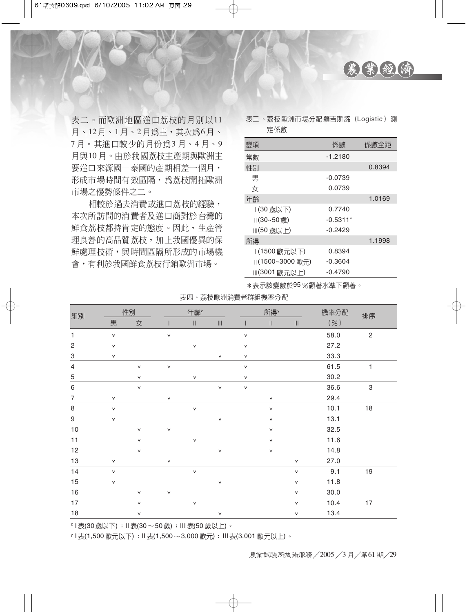

表二。而歐洲地區進口荔枝的月別以11 月、12月、1月、2月為主,其次為6月、 7月。其進口較少的月份爲3月、4月、9 月與10月。由於我國荔枝丰產期與歐洲主 要進口來源國一泰國的產期相差一個月, 形成市場時間有效區隔,為荔枝開拓歐洲 市場之優勢條件之二。

相較於過去消費或進口荔枝的經驗, 本次所訪問的消費者及進口商對於台灣的 鮮食荔枝都持肯定的態度。因此,生產管 理良善的高品質荔枝,加上我國優異的保 鮮處理技術,與時間區隔所形成的市場機 會,有利於我國鮮食荔枝行銷歐洲市場。

表三、荔枝歐洲市場分配羅吉斯諦 (Logistic) 測 定係數

| 變項                           | 係數         | 係數全距   |
|------------------------------|------------|--------|
| 常數                           | -1.2180    |        |
| 性別                           |            | 0.8394 |
| 男                            | $-0.0739$  |        |
| 女                            | 0.0739     |        |
| 年齡                           |            | 1.0169 |
| (30 歲以下)                     | 0.7740     |        |
| $   (30 - 50 \frac{1}{100})$ | $-0.5311*$ |        |
| Ⅲ(50 歳以上)                    | $-0.2429$  |        |
| 所得                           |            | 1.1998 |
| (1500歐元以下)                   | 0.8394     |        |
| (1500~3000歐元)                | $-0.3604$  |        |
| Ⅲ(3001 歐元以上)                 | $-0.4790$  |        |

\*表示該變數於95%顯著水準下顯著。

|  | 表四、荔枝歐洲消費者群組機率分配 |  |
|--|------------------|--|
|--|------------------|--|

| 組別                        | 性別           |              | 年齡 <sup>z</sup> |              | 所得Y                                  |              |              | 機率分配                                 | 排序   |                |
|---------------------------|--------------|--------------|-----------------|--------------|--------------------------------------|--------------|--------------|--------------------------------------|------|----------------|
|                           | 男            | 女            |                 | $\vert\vert$ | $\left\vert \right\vert \right\vert$ |              | Ш            | $\left\vert \right\vert \right\vert$ | ( %) |                |
| $\mathbf{1}$              | $\checkmark$ |              | $\checkmark$    |              |                                      | $\checkmark$ |              |                                      | 58.0 | $\overline{c}$ |
| $\sqrt{2}$                | $\checkmark$ |              |                 | $\vee$       |                                      | $\checkmark$ |              |                                      | 27.2 |                |
| $\ensuremath{\mathsf{3}}$ | $\checkmark$ |              |                 |              | $\checkmark$                         | v            |              |                                      | 33.3 |                |
| $\overline{4}$            |              | $\checkmark$ | $\checkmark$    |              |                                      | $\checkmark$ |              |                                      | 61.5 | 1              |
| $\mathbf 5$               |              | $\checkmark$ |                 | $\checkmark$ |                                      | v            |              |                                      | 30.2 |                |
| $\,6\,$                   |              | $\checkmark$ |                 |              | $\vee$                               | V            |              |                                      | 36.6 | $\,3$          |
| $\overline{7}$            | $\checkmark$ |              | $\checkmark$    |              |                                      |              | $\checkmark$ |                                      | 29.4 |                |
| $\,8\,$                   | $\checkmark$ |              |                 | $\vee$       |                                      |              | $\checkmark$ |                                      | 10.1 | 18             |
| $\boldsymbol{9}$          | v            |              |                 |              | $\checkmark$                         |              | $\checkmark$ |                                      | 13.1 |                |
| $10$                      |              | $\checkmark$ | $\checkmark$    |              |                                      |              | $\checkmark$ |                                      | 32.5 |                |
| 11                        |              | $\checkmark$ |                 | $\checkmark$ |                                      |              | $\checkmark$ |                                      | 11.6 |                |
| 12                        |              | $\checkmark$ |                 |              | $\checkmark$                         |              | ٧            |                                      | 14.8 |                |
| $13$                      | $\checkmark$ |              | $\checkmark$    |              |                                      |              |              | $\checkmark$                         | 27.0 |                |
| 14                        | $\checkmark$ |              |                 | $\vee$       |                                      |              |              | $\checkmark$                         | 9.1  | $19$           |
| 15                        | v            |              |                 |              | $\checkmark$                         |              |              | v                                    | 11.8 |                |
| 16                        |              | $\checkmark$ | $\checkmark$    |              |                                      |              |              | $\checkmark$                         | 30.0 |                |
| 17                        |              | $\checkmark$ |                 | $\checkmark$ |                                      |              |              | $\checkmark$                         | 10.4 | $17$           |
| 18                        |              | v            |                 |              | $\vee$                               |              |              | $\checkmark$                         | 13.4 |                |

z I 表(30歲以下) : II 表(30~50歲) : III 表(50歲以上) 。

y Ⅰ 表(1,500 歐元以下) ; Ⅱ 表(1,500 ~ 3,000 歐元) ; Ⅲ 表(3,001 歐元以上) 。

農業試驗所技術服務/2005/3月/第61期/29